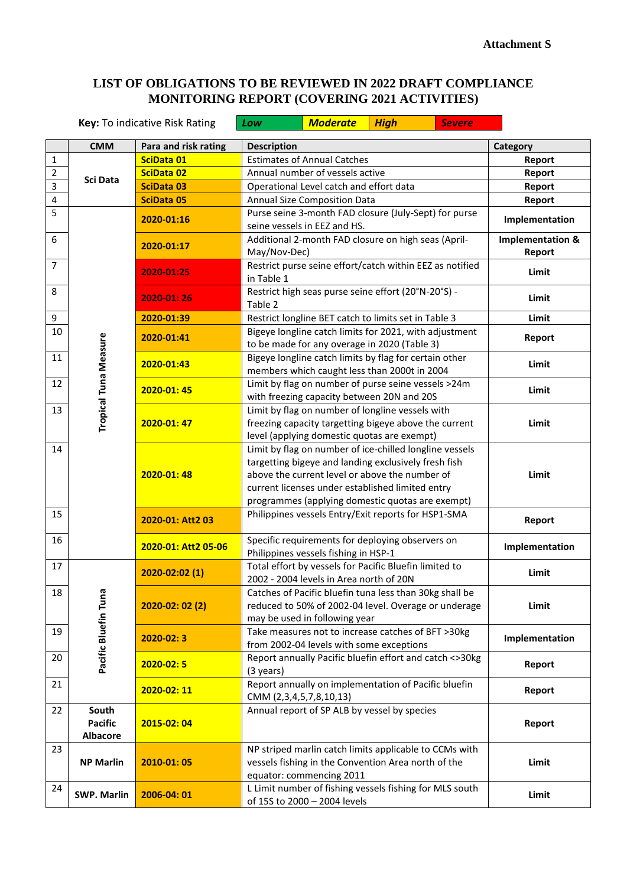## **LIST OF OBLIGATIONS TO BE REVIEWED IN 2022 DRAFT COMPLIANCE MONITORING REPORT (COVERING 2021 ACTIVITIES)**

|                | Key: To indicative Risk Rating             |                                                                                                                                                                      | Low                                                                                                                                                      | <b>Moderate</b>                                                                                                                                                                                                                                                           | <b>High</b> | <b>Severe</b>  |                                       |
|----------------|--------------------------------------------|----------------------------------------------------------------------------------------------------------------------------------------------------------------------|----------------------------------------------------------------------------------------------------------------------------------------------------------|---------------------------------------------------------------------------------------------------------------------------------------------------------------------------------------------------------------------------------------------------------------------------|-------------|----------------|---------------------------------------|
|                | <b>CMM</b>                                 | Para and risk rating                                                                                                                                                 | <b>Description</b>                                                                                                                                       |                                                                                                                                                                                                                                                                           |             |                | Category                              |
| 1              |                                            | SciData 01                                                                                                                                                           | <b>Estimates of Annual Catches</b>                                                                                                                       |                                                                                                                                                                                                                                                                           |             | Report         |                                       |
| $\overline{2}$ | <b>Sci Data</b>                            | SciData 02                                                                                                                                                           | Annual number of vessels active<br>Operational Level catch and effort data                                                                               |                                                                                                                                                                                                                                                                           |             | Report         |                                       |
| 3              |                                            | <b>SciData 03</b>                                                                                                                                                    |                                                                                                                                                          |                                                                                                                                                                                                                                                                           |             | Report         |                                       |
| $\overline{4}$ |                                            | <b>SciData 05</b>                                                                                                                                                    | Annual Size Composition Data                                                                                                                             |                                                                                                                                                                                                                                                                           |             | Report         |                                       |
| 5              | Tropical Tuna Measure                      | 2020-01:16                                                                                                                                                           | Purse seine 3-month FAD closure (July-Sept) for purse                                                                                                    |                                                                                                                                                                                                                                                                           |             | Implementation |                                       |
|                |                                            |                                                                                                                                                                      | seine vessels in EEZ and HS.                                                                                                                             |                                                                                                                                                                                                                                                                           |             |                |                                       |
| 6              |                                            | 2020-01:17                                                                                                                                                           | Additional 2-month FAD closure on high seas (April-<br>May/Nov-Dec)<br>Restrict purse seine effort/catch within EEZ as notified<br>in Table 1            |                                                                                                                                                                                                                                                                           |             |                | <b>Implementation &amp;</b><br>Report |
| 7              |                                            | 2020-01:25                                                                                                                                                           |                                                                                                                                                          |                                                                                                                                                                                                                                                                           |             |                | Limit                                 |
| 8              |                                            | 2020-01:26                                                                                                                                                           | Table 2                                                                                                                                                  | Restrict high seas purse seine effort (20°N-20°S) -                                                                                                                                                                                                                       |             |                | Limit                                 |
| 9              |                                            | 2020-01:39                                                                                                                                                           |                                                                                                                                                          | Restrict longline BET catch to limits set in Table 3                                                                                                                                                                                                                      |             |                | Limit                                 |
| 10             |                                            | 2020-01:41                                                                                                                                                           |                                                                                                                                                          | Bigeye longline catch limits for 2021, with adjustment                                                                                                                                                                                                                    |             |                | Report                                |
| 11             |                                            | to be made for any overage in 2020 (Table 3)<br>Bigeye longline catch limits by flag for certain other<br>2020-01:43<br>members which caught less than 2000t in 2004 |                                                                                                                                                          |                                                                                                                                                                                                                                                                           |             |                | Limit                                 |
| 12             |                                            | 2020-01:45                                                                                                                                                           | Limit by flag on number of purse seine vessels >24m<br>with freezing capacity between 20N and 20S                                                        |                                                                                                                                                                                                                                                                           |             |                | Limit                                 |
| 13             |                                            | 2020-01:47                                                                                                                                                           | Limit by flag on number of longline vessels with<br>freezing capacity targetting bigeye above the current<br>level (applying domestic quotas are exempt) |                                                                                                                                                                                                                                                                           |             |                | Limit                                 |
| 14             |                                            | 2020-01:48                                                                                                                                                           |                                                                                                                                                          | Limit by flag on number of ice-chilled longline vessels<br>targetting bigeye and landing exclusively fresh fish<br>above the current level or above the number of<br>current licenses under established limited entry<br>programmes (applying domestic quotas are exempt) |             |                | Limit                                 |
| 15             |                                            | 2020-01: Att2 03                                                                                                                                                     |                                                                                                                                                          | Philippines vessels Entry/Exit reports for HSP1-SMA                                                                                                                                                                                                                       |             |                | Report                                |
| 16             |                                            | 2020-01: Att2 05-06                                                                                                                                                  |                                                                                                                                                          | Specific requirements for deploying observers on<br>Philippines vessels fishing in HSP-1                                                                                                                                                                                  |             |                | Implementation                        |
| 17             | Pacific Bluefin Tuna                       | 2020-02:02 (1)                                                                                                                                                       |                                                                                                                                                          | Total effort by vessels for Pacific Bluefin limited to<br>2002 - 2004 levels in Area north of 20N                                                                                                                                                                         |             |                | Limit                                 |
| 18             |                                            | $2020-02:02(2)$                                                                                                                                                      |                                                                                                                                                          | Catches of Pacific bluefin tuna less than 30kg shall be<br>reduced to 50% of 2002-04 level. Overage or underage<br>may be used in following year                                                                                                                          |             |                | Limit                                 |
| 19             |                                            | $2020 - 02:3$                                                                                                                                                        |                                                                                                                                                          | Take measures not to increase catches of BFT >30kg<br>from 2002-04 levels with some exceptions                                                                                                                                                                            |             |                | Implementation                        |
| 20             |                                            | $2020 - 02:5$                                                                                                                                                        | (3 years)                                                                                                                                                | Report annually Pacific bluefin effort and catch <>30kg                                                                                                                                                                                                                   |             |                | Report                                |
| 21             |                                            | 2020-02:11                                                                                                                                                           | CMM (2,3,4,5,7,8,10,13)                                                                                                                                  | Report annually on implementation of Pacific bluefin                                                                                                                                                                                                                      |             |                | Report                                |
| 22             | South<br><b>Pacific</b><br><b>Albacore</b> | 2015-02:04                                                                                                                                                           | Annual report of SP ALB by vessel by species                                                                                                             |                                                                                                                                                                                                                                                                           |             | Report         |                                       |
| 23             | <b>NP Marlin</b>                           | 2010-01:05                                                                                                                                                           | NP striped marlin catch limits applicable to CCMs with<br>vessels fishing in the Convention Area north of the<br>equator: commencing 2011                |                                                                                                                                                                                                                                                                           |             | Limit          |                                       |
| 24             | <b>SWP. Marlin</b>                         | 2006-04:01                                                                                                                                                           | L Limit number of fishing vessels fishing for MLS south<br>of 15S to 2000 - 2004 levels                                                                  |                                                                                                                                                                                                                                                                           |             | Limit          |                                       |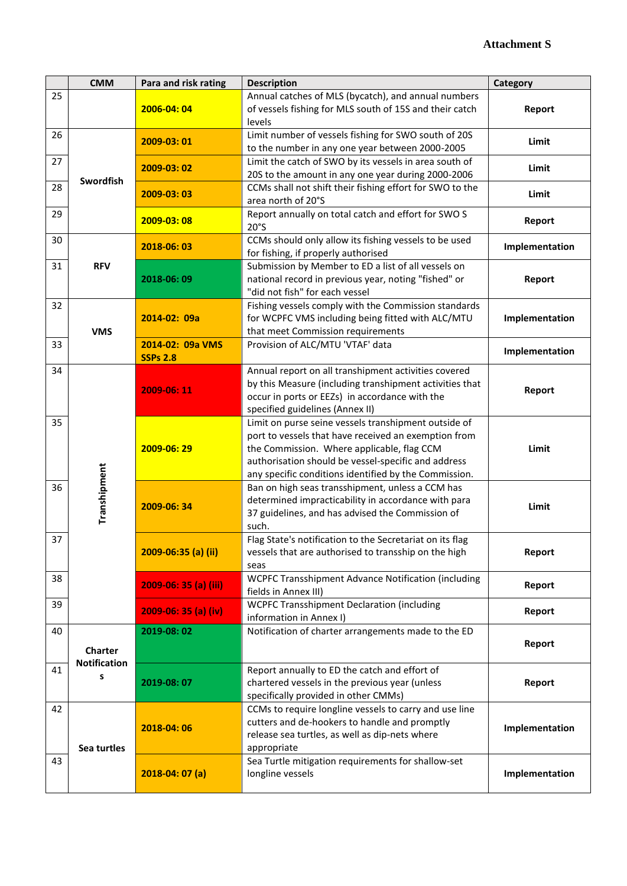|    | <b>CMM</b>                                                                                                                                                                                                                                                               | Para and risk rating  | <b>Description</b>                                                                                                                                                                                                                                                         | Category       |
|----|--------------------------------------------------------------------------------------------------------------------------------------------------------------------------------------------------------------------------------------------------------------------------|-----------------------|----------------------------------------------------------------------------------------------------------------------------------------------------------------------------------------------------------------------------------------------------------------------------|----------------|
| 25 |                                                                                                                                                                                                                                                                          | 2006-04:04            | Annual catches of MLS (bycatch), and annual numbers<br>of vessels fishing for MLS south of 15S and their catch<br>levels                                                                                                                                                   | Report         |
| 26 |                                                                                                                                                                                                                                                                          | 2009-03:01            | Limit number of vessels fishing for SWO south of 20S<br>to the number in any one year between 2000-2005                                                                                                                                                                    | Limit          |
| 27 | Swordfish                                                                                                                                                                                                                                                                | 2009-03:02            | Limit the catch of SWO by its vessels in area south of<br>20S to the amount in any one year during 2000-2006                                                                                                                                                               | Limit          |
| 28 |                                                                                                                                                                                                                                                                          | 2009-03:03            | CCMs shall not shift their fishing effort for SWO to the<br>area north of 20°S                                                                                                                                                                                             | Limit          |
| 29 | 2009-03:08                                                                                                                                                                                                                                                               |                       | Report annually on total catch and effort for SWO S<br>20°S                                                                                                                                                                                                                | Report         |
| 30 | 2018-06:03                                                                                                                                                                                                                                                               |                       | CCMs should only allow its fishing vessels to be used<br>for fishing, if properly authorised                                                                                                                                                                               | Implementation |
| 31 | <b>RFV</b><br>2018-06:09                                                                                                                                                                                                                                                 |                       | Submission by Member to ED a list of all vessels on<br>national record in previous year, noting "fished" or<br>"did not fish" for each vessel                                                                                                                              | Report         |
| 32 | <b>VMS</b>                                                                                                                                                                                                                                                               | 2014-02: 09a          | Fishing vessels comply with the Commission standards<br>for WCPFC VMS including being fitted with ALC/MTU<br>that meet Commission requirements                                                                                                                             | Implementation |
| 33 | 2014-02: 09a VMS<br><b>SSPs 2.8</b>                                                                                                                                                                                                                                      |                       | Provision of ALC/MTU 'VTAF' data                                                                                                                                                                                                                                           | Implementation |
| 34 |                                                                                                                                                                                                                                                                          | 2009-06:11            | Annual report on all transhipment activities covered<br>by this Measure (including transhipment activities that<br>occur in ports or EEZs) in accordance with the<br>specified guidelines (Annex II)                                                                       | Report         |
| 35 |                                                                                                                                                                                                                                                                          | 2009-06:29            | Limit on purse seine vessels transhipment outside of<br>port to vessels that have received an exemption from<br>the Commission. Where applicable, flag CCM<br>authorisation should be vessel-specific and address<br>any specific conditions identified by the Commission. | Limit          |
| 36 | Transhipment                                                                                                                                                                                                                                                             | 2009-06:34            | Ban on high seas transshipment, unless a CCM has<br>determined impracticability in accordance with para<br>37 guidelines, and has advised the Commission of<br>such.                                                                                                       | Limit          |
| 37 |                                                                                                                                                                                                                                                                          | 2009-06:35 (a) (ii)   | Flag State's notification to the Secretariat on its flag<br>vessels that are authorised to transship on the high<br>seas                                                                                                                                                   | Report         |
| 38 |                                                                                                                                                                                                                                                                          | 2009-06: 35 (a) (iii) | WCPFC Transshipment Advance Notification (including<br>fields in Annex III)                                                                                                                                                                                                | Report         |
| 39 |                                                                                                                                                                                                                                                                          | 2009-06: 35 (a) (iv)  | <b>WCPFC Transshipment Declaration (including</b><br>information in Annex I)                                                                                                                                                                                               | Report         |
| 40 | Notification of charter arrangements made to the ED<br>2019-08:02<br><b>Charter</b><br><b>Notification</b><br>Report annually to ED the catch and effort of<br>s<br>chartered vessels in the previous year (unless<br>2019-08:07<br>specifically provided in other CMMs) |                       | Report                                                                                                                                                                                                                                                                     |                |
| 41 |                                                                                                                                                                                                                                                                          |                       |                                                                                                                                                                                                                                                                            | Report         |
| 42 | 2018-04:06<br>Sea turtles                                                                                                                                                                                                                                                |                       | CCMs to require longline vessels to carry and use line<br>cutters and de-hookers to handle and promptly<br>release sea turtles, as well as dip-nets where<br>appropriate                                                                                                   | Implementation |
| 43 |                                                                                                                                                                                                                                                                          | $2018-04:07(a)$       | Sea Turtle mitigation requirements for shallow-set<br>longline vessels                                                                                                                                                                                                     | Implementation |